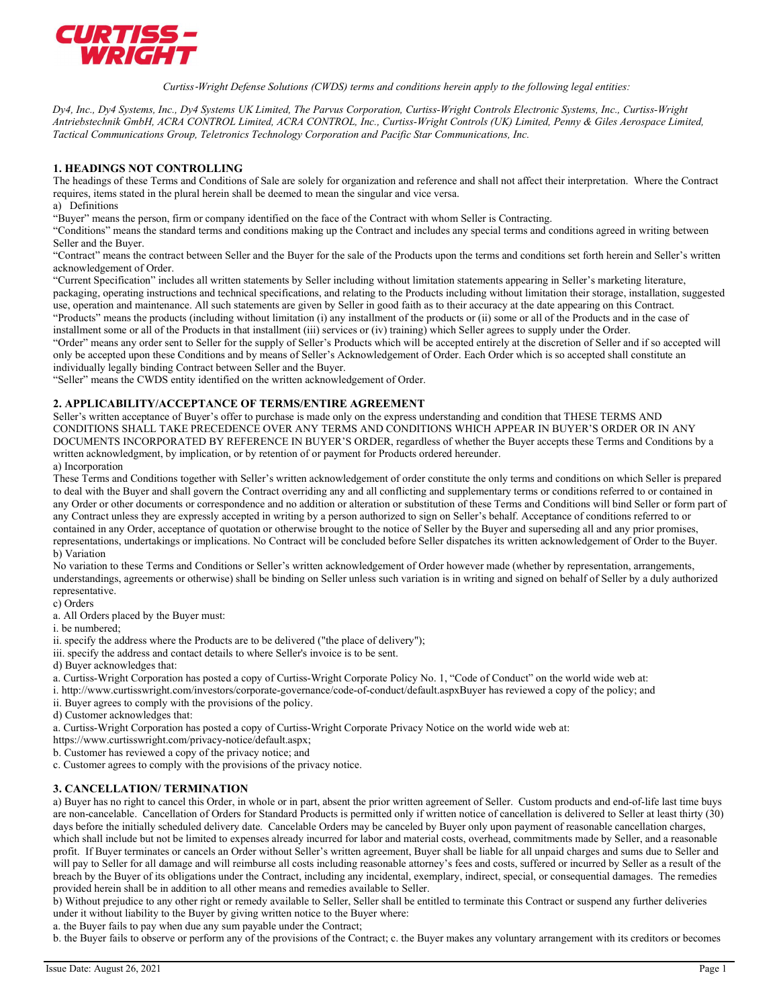

Curtiss‐Wright Defense Solutions (CWDS) terms and conditions herein apply to the following legal entities:

Dy4, Inc., Dy4 Systems, Inc., Dy4 Systems UK Limited, The Parvus Corporation, Curtiss-Wright Controls Electronic Systems, Inc., Curtiss-Wright Antriebstechnik GmbH, ACRA CONTROL Limited, ACRA CONTROL, Inc., Curtiss-Wright Controls (UK) Limited, Penny & Giles Aerospace Limited, Tactical Communications Group, Teletronics Technology Corporation and Pacific Star Communications, Inc.

# 1. HEADINGS NOT CONTROLLING

The headings of these Terms and Conditions of Sale are solely for organization and reference and shall not affect their interpretation. Where the Contract requires, items stated in the plural herein shall be deemed to mean the singular and vice versa.

a) Definitions

"Buyer" means the person, firm or company identified on the face of the Contract with whom Seller is Contracting.

"Conditions" means the standard terms and conditions making up the Contract and includes any special terms and conditions agreed in writing between Seller and the Buyer.

"Contract" means the contract between Seller and the Buyer for the sale of the Products upon the terms and conditions set forth herein and Seller's written acknowledgement of Order.

"Current Specification" includes all written statements by Seller including without limitation statements appearing in Seller's marketing literature, packaging, operating instructions and technical specifications, and relating to the Products including without limitation their storage, installation, suggested use, operation and maintenance. All such statements are given by Seller in good faith as to their accuracy at the date appearing on this Contract. "Products" means the products (including without limitation (i) any installment of the products or (ii) some or all of the Products and in the case of installment some or all of the Products in that installment (iii) services or (iv) training) which Seller agrees to supply under the Order.

"Order" means any order sent to Seller for the supply of Seller's Products which will be accepted entirely at the discretion of Seller and if so accepted will only be accepted upon these Conditions and by means of Seller's Acknowledgement of Order. Each Order which is so accepted shall constitute an individually legally binding Contract between Seller and the Buyer.

"Seller" means the CWDS entity identified on the written acknowledgement of Order.

# 2. APPLICABILITY/ACCEPTANCE OF TERMS/ENTIRE AGREEMENT

Seller's written acceptance of Buyer's offer to purchase is made only on the express understanding and condition that THESE TERMS AND CONDITIONS SHALL TAKE PRECEDENCE OVER ANY TERMS AND CONDITIONS WHICH APPEAR IN BUYER'S ORDER OR IN ANY DOCUMENTS INCORPORATED BY REFERENCE IN BUYER'S ORDER, regardless of whether the Buyer accepts these Terms and Conditions by a written acknowledgment, by implication, or by retention of or payment for Products ordered hereunder.

a) Incorporation

These Terms and Conditions together with Seller's written acknowledgement of order constitute the only terms and conditions on which Seller is prepared to deal with the Buyer and shall govern the Contract overriding any and all conflicting and supplementary terms or conditions referred to or contained in any Order or other documents or correspondence and no addition or alteration or substitution of these Terms and Conditions will bind Seller or form part of any Contract unless they are expressly accepted in writing by a person authorized to sign on Seller's behalf. Acceptance of conditions referred to or contained in any Order, acceptance of quotation or otherwise brought to the notice of Seller by the Buyer and superseding all and any prior promises, representations, undertakings or implications. No Contract will be concluded before Seller dispatches its written acknowledgement of Order to the Buyer. b) Variation

No variation to these Terms and Conditions or Seller's written acknowledgement of Order however made (whether by representation, arrangements, understandings, agreements or otherwise) shall be binding on Seller unless such variation is in writing and signed on behalf of Seller by a duly authorized representative.

c) Orders

a. All Orders placed by the Buyer must:

i. be numbered;

ii. specify the address where the Products are to be delivered ("the place of delivery");

iii. specify the address and contact details to where Seller's invoice is to be sent.

d) Buyer acknowledges that:

a. Curtiss-Wright Corporation has posted a copy of Curtiss-Wright Corporate Policy No. 1, "Code of Conduct" on the world wide web at:

i. http://www.curtisswright.com/investors/corporate-governance/code-of-conduct/default.aspxBuyer has reviewed a copy of the policy; and

ii. Buyer agrees to comply with the provisions of the policy.

d) Customer acknowledges that:

a. Curtiss-Wright Corporation has posted a copy of Curtiss-Wright Corporate Privacy Notice on the world wide web at:

https://www.curtisswright.com/privacy-notice/default.aspx;

b. Customer has reviewed a copy of the privacy notice; and

c. Customer agrees to comply with the provisions of the privacy notice.

# 3. CANCELLATION/ TERMINATION

a) Buyer has no right to cancel this Order, in whole or in part, absent the prior written agreement of Seller. Custom products and end-of-life last time buys are non-cancelable. Cancellation of Orders for Standard Products is permitted only if written notice of cancellation is delivered to Seller at least thirty (30) days before the initially scheduled delivery date. Cancelable Orders may be canceled by Buyer only upon payment of reasonable cancellation charges, which shall include but not be limited to expenses already incurred for labor and material costs, overhead, commitments made by Seller, and a reasonable profit. If Buyer terminates or cancels an Order without Seller's written agreement, Buyer shall be liable for all unpaid charges and sums due to Seller and will pay to Seller for all damage and will reimburse all costs including reasonable attorney's fees and costs, suffered or incurred by Seller as a result of the breach by the Buyer of its obligations under the Contract, including any incidental, exemplary, indirect, special, or consequential damages. The remedies provided herein shall be in addition to all other means and remedies available to Seller.

b) Without prejudice to any other right or remedy available to Seller, Seller shall be entitled to terminate this Contract or suspend any further deliveries under it without liability to the Buyer by giving written notice to the Buyer where:

a. the Buyer fails to pay when due any sum payable under the Contract;

b. the Buyer fails to observe or perform any of the provisions of the Contract; c. the Buyer makes any voluntary arrangement with its creditors or becomes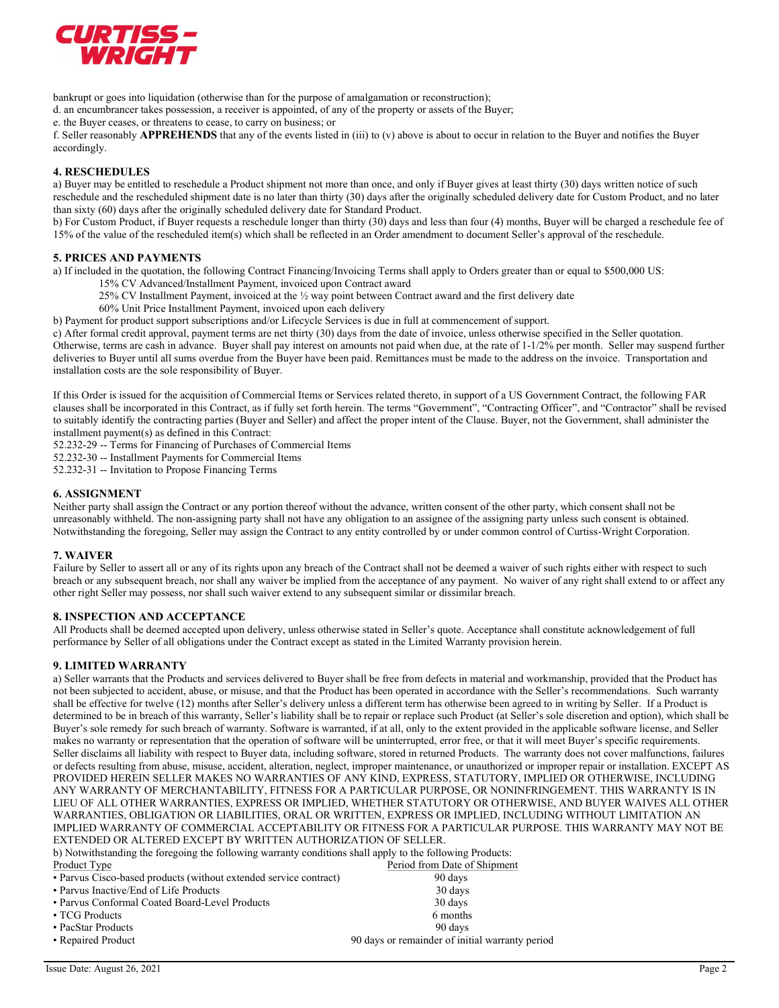

bankrupt or goes into liquidation (otherwise than for the purpose of amalgamation or reconstruction);

d. an encumbrancer takes possession, a receiver is appointed, of any of the property or assets of the Buyer;

e. the Buyer ceases, or threatens to cease, to carry on business; or

f. Seller reasonably **APPREHENDS** that any of the events listed in (iii) to (v) above is about to occur in relation to the Buyer and notifies the Buyer accordingly.

# 4. RESCHEDULES

a) Buyer may be entitled to reschedule a Product shipment not more than once, and only if Buyer gives at least thirty (30) days written notice of such reschedule and the rescheduled shipment date is no later than thirty (30) days after the originally scheduled delivery date for Custom Product, and no later than sixty (60) days after the originally scheduled delivery date for Standard Product.

b) For Custom Product, if Buyer requests a reschedule longer than thirty (30) days and less than four (4) months, Buyer will be charged a reschedule fee of 15% of the value of the rescheduled item(s) which shall be reflected in an Order amendment to document Seller's approval of the reschedule.

# 5. PRICES AND PAYMENTS

a) If included in the quotation, the following Contract Financing/Invoicing Terms shall apply to Orders greater than or equal to \$500,000 US:

- 15% CV Advanced/Installment Payment, invoiced upon Contract award
	- 25% CV Installment Payment, invoiced at the ½ way point between Contract award and the first delivery date
	- 60% Unit Price Installment Payment, invoiced upon each delivery

b) Payment for product support subscriptions and/or Lifecycle Services is due in full at commencement of support.

c) After formal credit approval, payment terms are net thirty (30) days from the date of invoice, unless otherwise specified in the Seller quotation. Otherwise, terms are cash in advance. Buyer shall pay interest on amounts not paid when due, at the rate of 1-1/2% per month. Seller may suspend further deliveries to Buyer until all sums overdue from the Buyer have been paid. Remittances must be made to the address on the invoice. Transportation and installation costs are the sole responsibility of Buyer.

If this Order is issued for the acquisition of Commercial Items or Services related thereto, in support of a US Government Contract, the following FAR clauses shall be incorporated in this Contract, as if fully set forth herein. The terms "Government", "Contracting Officer", and "Contractor" shall be revised to suitably identify the contracting parties (Buyer and Seller) and affect the proper intent of the Clause. Buyer, not the Government, shall administer the installment payment(s) as defined in this Contract:

52.232-29 -- Terms for Financing of Purchases of Commercial Items

52.232-30 -- Installment Payments for Commercial Items

52.232-31 -- Invitation to Propose Financing Terms

# 6. ASSIGNMENT

Neither party shall assign the Contract or any portion thereof without the advance, written consent of the other party, which consent shall not be unreasonably withheld. The non-assigning party shall not have any obligation to an assignee of the assigning party unless such consent is obtained. Notwithstanding the foregoing, Seller may assign the Contract to any entity controlled by or under common control of Curtiss-Wright Corporation.

### 7. WAIVER

Failure by Seller to assert all or any of its rights upon any breach of the Contract shall not be deemed a waiver of such rights either with respect to such breach or any subsequent breach, nor shall any waiver be implied from the acceptance of any payment. No waiver of any right shall extend to or affect any other right Seller may possess, nor shall such waiver extend to any subsequent similar or dissimilar breach.

# 8. INSPECTION AND ACCEPTANCE

All Products shall be deemed accepted upon delivery, unless otherwise stated in Seller's quote. Acceptance shall constitute acknowledgement of full performance by Seller of all obligations under the Contract except as stated in the Limited Warranty provision herein.

# 9. LIMITED WARRANTY

a) Seller warrants that the Products and services delivered to Buyer shall be free from defects in material and workmanship, provided that the Product has not been subjected to accident, abuse, or misuse, and that the Product has been operated in accordance with the Seller's recommendations. Such warranty shall be effective for twelve (12) months after Seller's delivery unless a different term has otherwise been agreed to in writing by Seller. If a Product is determined to be in breach of this warranty, Seller's liability shall be to repair or replace such Product (at Seller's sole discretion and option), which shall be Buyer's sole remedy for such breach of warranty. Software is warranted, if at all, only to the extent provided in the applicable software license, and Seller makes no warranty or representation that the operation of software will be uninterrupted, error free, or that it will meet Buyer's specific requirements. Seller disclaims all liability with respect to Buyer data, including software, stored in returned Products. The warranty does not cover malfunctions, failures or defects resulting from abuse, misuse, accident, alteration, neglect, improper maintenance, or unauthorized or improper repair or installation. EXCEPT AS PROVIDED HEREIN SELLER MAKES NO WARRANTIES OF ANY KIND, EXPRESS, STATUTORY, IMPLIED OR OTHERWISE, INCLUDING ANY WARRANTY OF MERCHANTABILITY, FITNESS FOR A PARTICULAR PURPOSE, OR NONINFRINGEMENT. THIS WARRANTY IS IN LIEU OF ALL OTHER WARRANTIES, EXPRESS OR IMPLIED, WHETHER STATUTORY OR OTHERWISE, AND BUYER WAIVES ALL OTHER WARRANTIES, OBLIGATION OR LIABILITIES, ORAL OR WRITTEN, EXPRESS OR IMPLIED, INCLUDING WITHOUT LIMITATION AN IMPLIED WARRANTY OF COMMERCIAL ACCEPTABILITY OR FITNESS FOR A PARTICULAR PURPOSE. THIS WARRANTY MAY NOT BE EXTENDED OR ALTERED EXCEPT BY WRITTEN AUTHORIZATION OF SELLER.

b) Notwithstanding the foregoing the following warranty conditions shall apply to the following Products:

| Product Type                                                      | Period from Date of Shipment                    |
|-------------------------------------------------------------------|-------------------------------------------------|
| • Parvus Cisco-based products (without extended service contract) | 90 days                                         |
| • Parvus Inactive/End of Life Products                            | 30 days                                         |
| • Parvus Conformal Coated Board-Level Products                    | 30 days                                         |
| • TCG Products                                                    | 6 months                                        |
| • PacStar Products                                                | 90 days                                         |
| • Repaired Product                                                | 90 days or remainder of initial warranty period |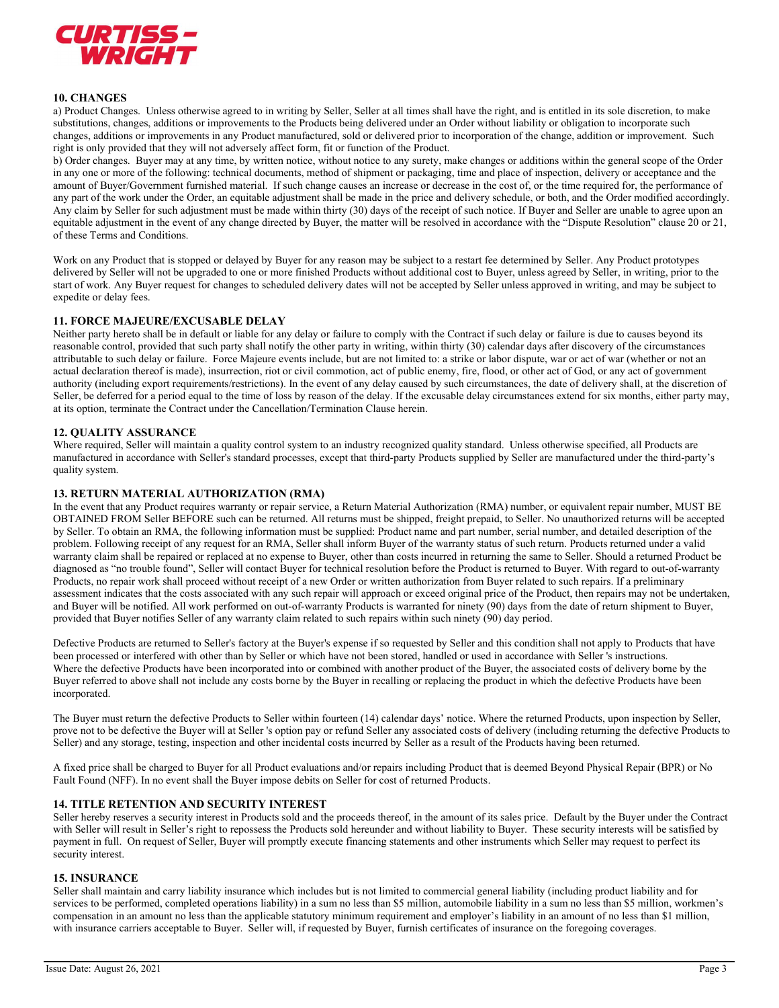

# 10. CHANGES

a) Product Changes. Unless otherwise agreed to in writing by Seller, Seller at all times shall have the right, and is entitled in its sole discretion, to make substitutions, changes, additions or improvements to the Products being delivered under an Order without liability or obligation to incorporate such changes, additions or improvements in any Product manufactured, sold or delivered prior to incorporation of the change, addition or improvement. Such right is only provided that they will not adversely affect form, fit or function of the Product.

b) Order changes. Buyer may at any time, by written notice, without notice to any surety, make changes or additions within the general scope of the Order in any one or more of the following: technical documents, method of shipment or packaging, time and place of inspection, delivery or acceptance and the amount of Buyer/Government furnished material. If such change causes an increase or decrease in the cost of, or the time required for, the performance of any part of the work under the Order, an equitable adjustment shall be made in the price and delivery schedule, or both, and the Order modified accordingly. Any claim by Seller for such adjustment must be made within thirty (30) days of the receipt of such notice. If Buyer and Seller are unable to agree upon an equitable adjustment in the event of any change directed by Buyer, the matter will be resolved in accordance with the "Dispute Resolution" clause 20 or 21, of these Terms and Conditions.

Work on any Product that is stopped or delayed by Buyer for any reason may be subject to a restart fee determined by Seller. Any Product prototypes delivered by Seller will not be upgraded to one or more finished Products without additional cost to Buyer, unless agreed by Seller, in writing, prior to the start of work. Any Buyer request for changes to scheduled delivery dates will not be accepted by Seller unless approved in writing, and may be subject to expedite or delay fees.

### 11. FORCE MAJEURE/EXCUSABLE DELAY

Neither party hereto shall be in default or liable for any delay or failure to comply with the Contract if such delay or failure is due to causes beyond its reasonable control, provided that such party shall notify the other party in writing, within thirty (30) calendar days after discovery of the circumstances attributable to such delay or failure. Force Majeure events include, but are not limited to: a strike or labor dispute, war or act of war (whether or not an actual declaration thereof is made), insurrection, riot or civil commotion, act of public enemy, fire, flood, or other act of God, or any act of government authority (including export requirements/restrictions). In the event of any delay caused by such circumstances, the date of delivery shall, at the discretion of Seller, be deferred for a period equal to the time of loss by reason of the delay. If the excusable delay circumstances extend for six months, either party may, at its option, terminate the Contract under the Cancellation/Termination Clause herein.

# 12. QUALITY ASSURANCE

Where required, Seller will maintain a quality control system to an industry recognized quality standard. Unless otherwise specified, all Products are manufactured in accordance with Seller's standard processes, except that third-party Products supplied by Seller are manufactured under the third-party's quality system.

# 13. RETURN MATERIAL AUTHORIZATION (RMA)

In the event that any Product requires warranty or repair service, a Return Material Authorization (RMA) number, or equivalent repair number, MUST BE OBTAINED FROM Seller BEFORE such can be returned. All returns must be shipped, freight prepaid, to Seller. No unauthorized returns will be accepted by Seller. To obtain an RMA, the following information must be supplied: Product name and part number, serial number, and detailed description of the problem. Following receipt of any request for an RMA, Seller shall inform Buyer of the warranty status of such return. Products returned under a valid warranty claim shall be repaired or replaced at no expense to Buyer, other than costs incurred in returning the same to Seller. Should a returned Product be diagnosed as "no trouble found", Seller will contact Buyer for technical resolution before the Product is returned to Buyer. With regard to out-of-warranty Products, no repair work shall proceed without receipt of a new Order or written authorization from Buyer related to such repairs. If a preliminary assessment indicates that the costs associated with any such repair will approach or exceed original price of the Product, then repairs may not be undertaken, and Buyer will be notified. All work performed on out-of-warranty Products is warranted for ninety (90) days from the date of return shipment to Buyer, provided that Buyer notifies Seller of any warranty claim related to such repairs within such ninety (90) day period.

Defective Products are returned to Seller's factory at the Buyer's expense if so requested by Seller and this condition shall not apply to Products that have been processed or interfered with other than by Seller or which have not been stored, handled or used in accordance with Seller 's instructions. Where the defective Products have been incorporated into or combined with another product of the Buyer, the associated costs of delivery borne by the Buyer referred to above shall not include any costs borne by the Buyer in recalling or replacing the product in which the defective Products have been incorporated.

The Buyer must return the defective Products to Seller within fourteen (14) calendar days' notice. Where the returned Products, upon inspection by Seller, prove not to be defective the Buyer will at Seller 's option pay or refund Seller any associated costs of delivery (including returning the defective Products to Seller) and any storage, testing, inspection and other incidental costs incurred by Seller as a result of the Products having been returned.

A fixed price shall be charged to Buyer for all Product evaluations and/or repairs including Product that is deemed Beyond Physical Repair (BPR) or No Fault Found (NFF). In no event shall the Buyer impose debits on Seller for cost of returned Products.

### 14. TITLE RETENTION AND SECURITY INTEREST

Seller hereby reserves a security interest in Products sold and the proceeds thereof, in the amount of its sales price. Default by the Buyer under the Contract with Seller will result in Seller's right to repossess the Products sold hereunder and without liability to Buyer. These security interests will be satisfied by payment in full. On request of Seller, Buyer will promptly execute financing statements and other instruments which Seller may request to perfect its security interest.

### 15. INSURANCE

Seller shall maintain and carry liability insurance which includes but is not limited to commercial general liability (including product liability and for services to be performed, completed operations liability) in a sum no less than \$5 million, automobile liability in a sum no less than \$5 million, workmen's compensation in an amount no less than the applicable statutory minimum requirement and employer's liability in an amount of no less than \$1 million, with insurance carriers acceptable to Buyer. Seller will, if requested by Buyer, furnish certificates of insurance on the foregoing coverages.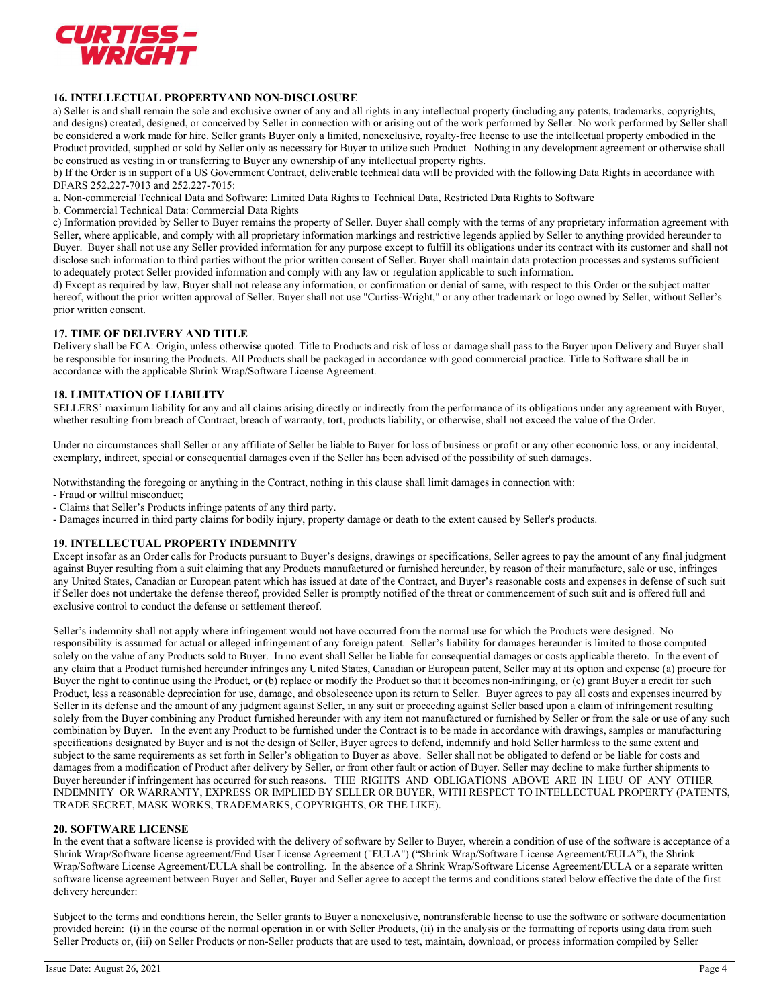

# 16. INTELLECTUAL PROPERTYAND NON-DISCLOSURE

a) Seller is and shall remain the sole and exclusive owner of any and all rights in any intellectual property (including any patents, trademarks, copyrights, and designs) created, designed, or conceived by Seller in connection with or arising out of the work performed by Seller. No work performed by Seller shall be considered a work made for hire. Seller grants Buyer only a limited, nonexclusive, royalty-free license to use the intellectual property embodied in the Product provided, supplied or sold by Seller only as necessary for Buyer to utilize such Product Nothing in any development agreement or otherwise shall be construed as vesting in or transferring to Buyer any ownership of any intellectual property rights.

b) If the Order is in support of a US Government Contract, deliverable technical data will be provided with the following Data Rights in accordance with DFARS 252.227-7013 and 252.227-7015:

a. Non-commercial Technical Data and Software: Limited Data Rights to Technical Data, Restricted Data Rights to Software

b. Commercial Technical Data: Commercial Data Rights

c) Information provided by Seller to Buyer remains the property of Seller. Buyer shall comply with the terms of any proprietary information agreement with Seller, where applicable, and comply with all proprietary information markings and restrictive legends applied by Seller to anything provided hereunder to Buyer. Buyer shall not use any Seller provided information for any purpose except to fulfill its obligations under its contract with its customer and shall not disclose such information to third parties without the prior written consent of Seller. Buyer shall maintain data protection processes and systems sufficient to adequately protect Seller provided information and comply with any law or regulation applicable to such information.

d) Except as required by law, Buyer shall not release any information, or confirmation or denial of same, with respect to this Order or the subject matter hereof, without the prior written approval of Seller. Buyer shall not use "Curtiss-Wright," or any other trademark or logo owned by Seller, without Seller's prior written consent.

# 17. TIME OF DELIVERY AND TITLE

Delivery shall be FCA: Origin, unless otherwise quoted. Title to Products and risk of loss or damage shall pass to the Buyer upon Delivery and Buyer shall be responsible for insuring the Products. All Products shall be packaged in accordance with good commercial practice. Title to Software shall be in accordance with the applicable Shrink Wrap/Software License Agreement.

### 18. LIMITATION OF LIABILITY

SELLERS' maximum liability for any and all claims arising directly or indirectly from the performance of its obligations under any agreement with Buyer, whether resulting from breach of Contract, breach of warranty, tort, products liability, or otherwise, shall not exceed the value of the Order.

Under no circumstances shall Seller or any affiliate of Seller be liable to Buyer for loss of business or profit or any other economic loss, or any incidental, exemplary, indirect, special or consequential damages even if the Seller has been advised of the possibility of such damages.

Notwithstanding the foregoing or anything in the Contract, nothing in this clause shall limit damages in connection with:

- Fraud or willful misconduct;
- Claims that Seller's Products infringe patents of any third party.
- Damages incurred in third party claims for bodily injury, property damage or death to the extent caused by Seller's products.

#### 19. INTELLECTUAL PROPERTY INDEMNITY

Except insofar as an Order calls for Products pursuant to Buyer's designs, drawings or specifications, Seller agrees to pay the amount of any final judgment against Buyer resulting from a suit claiming that any Products manufactured or furnished hereunder, by reason of their manufacture, sale or use, infringes any United States, Canadian or European patent which has issued at date of the Contract, and Buyer's reasonable costs and expenses in defense of such suit if Seller does not undertake the defense thereof, provided Seller is promptly notified of the threat or commencement of such suit and is offered full and exclusive control to conduct the defense or settlement thereof.

Seller's indemnity shall not apply where infringement would not have occurred from the normal use for which the Products were designed. No responsibility is assumed for actual or alleged infringement of any foreign patent. Seller's liability for damages hereunder is limited to those computed solely on the value of any Products sold to Buyer. In no event shall Seller be liable for consequential damages or costs applicable thereto. In the event of any claim that a Product furnished hereunder infringes any United States, Canadian or European patent, Seller may at its option and expense (a) procure for Buyer the right to continue using the Product, or (b) replace or modify the Product so that it becomes non-infringing, or (c) grant Buyer a credit for such Product, less a reasonable depreciation for use, damage, and obsolescence upon its return to Seller. Buyer agrees to pay all costs and expenses incurred by Seller in its defense and the amount of any judgment against Seller, in any suit or proceeding against Seller based upon a claim of infringement resulting solely from the Buyer combining any Product furnished hereunder with any item not manufactured or furnished by Seller or from the sale or use of any such combination by Buyer. In the event any Product to be furnished under the Contract is to be made in accordance with drawings, samples or manufacturing specifications designated by Buyer and is not the design of Seller, Buyer agrees to defend, indemnify and hold Seller harmless to the same extent and subject to the same requirements as set forth in Seller's obligation to Buyer as above. Seller shall not be obligated to defend or be liable for costs and damages from a modification of Product after delivery by Seller, or from other fault or action of Buyer. Seller may decline to make further shipments to Buyer hereunder if infringement has occurred for such reasons. THE RIGHTS AND OBLIGATIONS ABOVE ARE IN LIEU OF ANY OTHER INDEMNITY OR WARRANTY, EXPRESS OR IMPLIED BY SELLER OR BUYER, WITH RESPECT TO INTELLECTUAL PROPERTY (PATENTS, TRADE SECRET, MASK WORKS, TRADEMARKS, COPYRIGHTS, OR THE LIKE).

### 20. SOFTWARE LICENSE

In the event that a software license is provided with the delivery of software by Seller to Buyer, wherein a condition of use of the software is acceptance of a Shrink Wrap/Software license agreement/End User License Agreement ("EULA") ("Shrink Wrap/Software License Agreement/EULA"), the Shrink Wrap/Software License Agreement/EULA shall be controlling. In the absence of a Shrink Wrap/Software License Agreement/EULA or a separate written software license agreement between Buyer and Seller, Buyer and Seller agree to accept the terms and conditions stated below effective the date of the first delivery hereunder:

Subject to the terms and conditions herein, the Seller grants to Buyer a nonexclusive, nontransferable license to use the software or software documentation provided herein: (i) in the course of the normal operation in or with Seller Products, (ii) in the analysis or the formatting of reports using data from such Seller Products or, (iii) on Seller Products or non-Seller products that are used to test, maintain, download, or process information compiled by Seller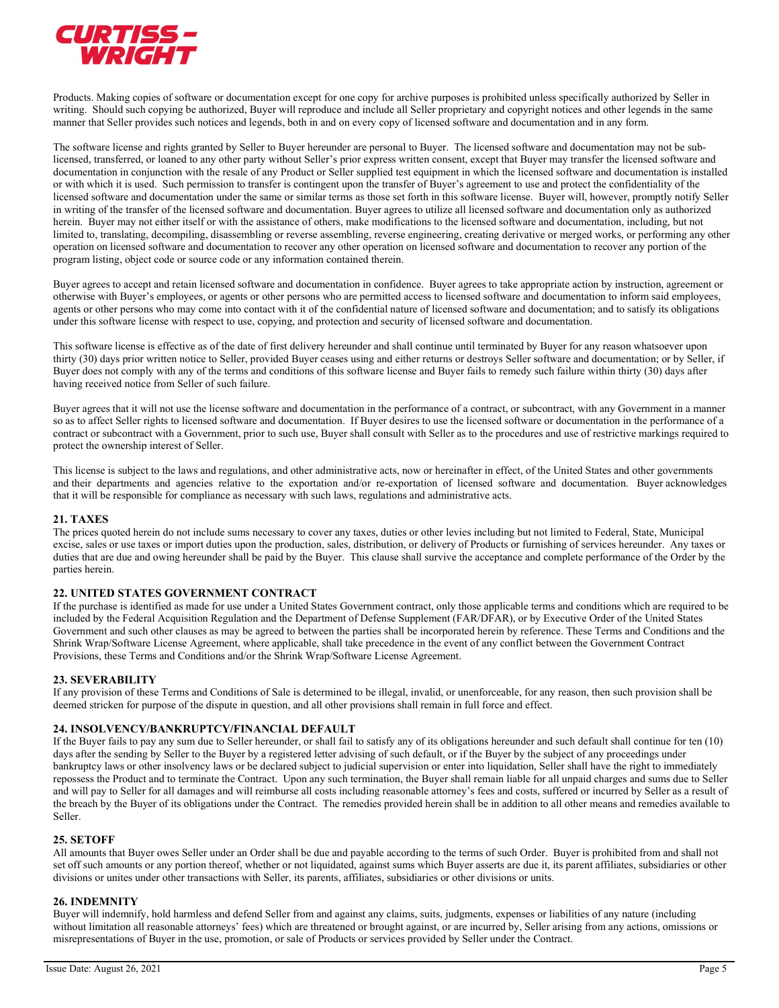

Products. Making copies of software or documentation except for one copy for archive purposes is prohibited unless specifically authorized by Seller in writing. Should such copying be authorized, Buyer will reproduce and include all Seller proprietary and copyright notices and other legends in the same manner that Seller provides such notices and legends, both in and on every copy of licensed software and documentation and in any form.

The software license and rights granted by Seller to Buyer hereunder are personal to Buyer. The licensed software and documentation may not be sublicensed, transferred, or loaned to any other party without Seller's prior express written consent, except that Buyer may transfer the licensed software and documentation in conjunction with the resale of any Product or Seller supplied test equipment in which the licensed software and documentation is installed or with which it is used. Such permission to transfer is contingent upon the transfer of Buyer's agreement to use and protect the confidentiality of the licensed software and documentation under the same or similar terms as those set forth in this software license. Buyer will, however, promptly notify Seller in writing of the transfer of the licensed software and documentation. Buyer agrees to utilize all licensed software and documentation only as authorized herein. Buyer may not either itself or with the assistance of others, make modifications to the licensed software and documentation, including, but not limited to, translating, decompiling, disassembling or reverse assembling, reverse engineering, creating derivative or merged works, or performing any other operation on licensed software and documentation to recover any other operation on licensed software and documentation to recover any portion of the program listing, object code or source code or any information contained therein.

Buyer agrees to accept and retain licensed software and documentation in confidence. Buyer agrees to take appropriate action by instruction, agreement or otherwise with Buyer's employees, or agents or other persons who are permitted access to licensed software and documentation to inform said employees, agents or other persons who may come into contact with it of the confidential nature of licensed software and documentation; and to satisfy its obligations under this software license with respect to use, copying, and protection and security of licensed software and documentation.

This software license is effective as of the date of first delivery hereunder and shall continue until terminated by Buyer for any reason whatsoever upon thirty (30) days prior written notice to Seller, provided Buyer ceases using and either returns or destroys Seller software and documentation; or by Seller, if Buyer does not comply with any of the terms and conditions of this software license and Buyer fails to remedy such failure within thirty (30) days after having received notice from Seller of such failure.

Buyer agrees that it will not use the license software and documentation in the performance of a contract, or subcontract, with any Government in a manner so as to affect Seller rights to licensed software and documentation. If Buyer desires to use the licensed software or documentation in the performance of a contract or subcontract with a Government, prior to such use, Buyer shall consult with Seller as to the procedures and use of restrictive markings required to protect the ownership interest of Seller.

This license is subject to the laws and regulations, and other administrative acts, now or hereinafter in effect, of the United States and other governments and their departments and agencies relative to the exportation and/or re-exportation of licensed software and documentation. Buyer acknowledges that it will be responsible for compliance as necessary with such laws, regulations and administrative acts.

# 21. TAXES

The prices quoted herein do not include sums necessary to cover any taxes, duties or other levies including but not limited to Federal, State, Municipal excise, sales or use taxes or import duties upon the production, sales, distribution, or delivery of Products or furnishing of services hereunder. Any taxes or duties that are due and owing hereunder shall be paid by the Buyer. This clause shall survive the acceptance and complete performance of the Order by the parties herein.

# 22. UNITED STATES GOVERNMENT CONTRACT

If the purchase is identified as made for use under a United States Government contract, only those applicable terms and conditions which are required to be included by the Federal Acquisition Regulation and the Department of Defense Supplement (FAR/DFAR), or by Executive Order of the United States Government and such other clauses as may be agreed to between the parties shall be incorporated herein by reference. These Terms and Conditions and the Shrink Wrap/Software License Agreement, where applicable, shall take precedence in the event of any conflict between the Government Contract Provisions, these Terms and Conditions and/or the Shrink Wrap/Software License Agreement.

# 23. SEVERABILITY

If any provision of these Terms and Conditions of Sale is determined to be illegal, invalid, or unenforceable, for any reason, then such provision shall be deemed stricken for purpose of the dispute in question, and all other provisions shall remain in full force and effect.

# 24. INSOLVENCY/BANKRUPTCY/FINANCIAL DEFAULT

If the Buyer fails to pay any sum due to Seller hereunder, or shall fail to satisfy any of its obligations hereunder and such default shall continue for ten (10) days after the sending by Seller to the Buyer by a registered letter advising of such default, or if the Buyer by the subject of any proceedings under bankruptcy laws or other insolvency laws or be declared subject to judicial supervision or enter into liquidation, Seller shall have the right to immediately repossess the Product and to terminate the Contract. Upon any such termination, the Buyer shall remain liable for all unpaid charges and sums due to Seller and will pay to Seller for all damages and will reimburse all costs including reasonable attorney's fees and costs, suffered or incurred by Seller as a result of the breach by the Buyer of its obligations under the Contract. The remedies provided herein shall be in addition to all other means and remedies available to Seller.

### 25. SETOFF

All amounts that Buyer owes Seller under an Order shall be due and payable according to the terms of such Order. Buyer is prohibited from and shall not set off such amounts or any portion thereof, whether or not liquidated, against sums which Buyer asserts are due it, its parent affiliates, subsidiaries or other divisions or unites under other transactions with Seller, its parents, affiliates, subsidiaries or other divisions or units.

# 26. INDEMNITY

Buyer will indemnify, hold harmless and defend Seller from and against any claims, suits, judgments, expenses or liabilities of any nature (including without limitation all reasonable attorneys' fees) which are threatened or brought against, or are incurred by, Seller arising from any actions, omissions or misrepresentations of Buyer in the use, promotion, or sale of Products or services provided by Seller under the Contract.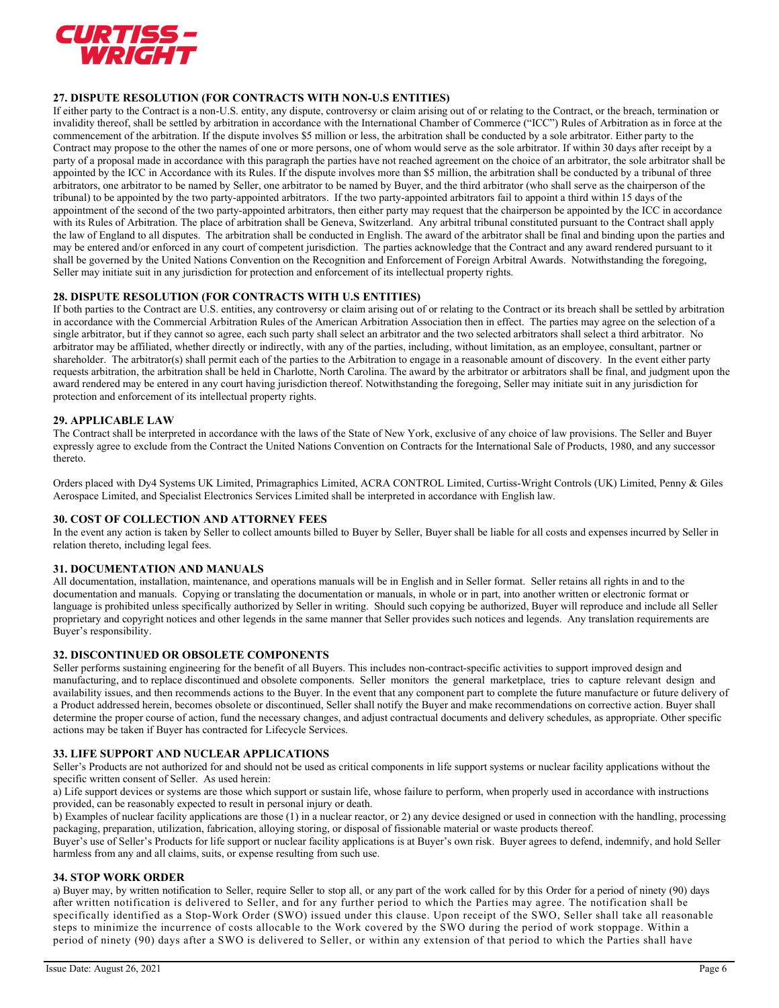

# 27. DISPUTE RESOLUTION (FOR CONTRACTS WITH NON-U.S ENTITIES)

If either party to the Contract is a non-U.S. entity, any dispute, controversy or claim arising out of or relating to the Contract, or the breach, termination or invalidity thereof, shall be settled by arbitration in accordance with the International Chamber of Commerce ("ICC") Rules of Arbitration as in force at the commencement of the arbitration. If the dispute involves \$5 million or less, the arbitration shall be conducted by a sole arbitrator. Either party to the Contract may propose to the other the names of one or more persons, one of whom would serve as the sole arbitrator. If within 30 days after receipt by a party of a proposal made in accordance with this paragraph the parties have not reached agreement on the choice of an arbitrator, the sole arbitrator shall be appointed by the ICC in Accordance with its Rules. If the dispute involves more than \$5 million, the arbitration shall be conducted by a tribunal of three arbitrators, one arbitrator to be named by Seller, one arbitrator to be named by Buyer, and the third arbitrator (who shall serve as the chairperson of the tribunal) to be appointed by the two party-appointed arbitrators. If the two party-appointed arbitrators fail to appoint a third within 15 days of the appointment of the second of the two party-appointed arbitrators, then either party may request that the chairperson be appointed by the ICC in accordance with its Rules of Arbitration. The place of arbitration shall be Geneva, Switzerland. Any arbitral tribunal constituted pursuant to the Contract shall apply the law of England to all disputes. The arbitration shall be conducted in English. The award of the arbitrator shall be final and binding upon the parties and may be entered and/or enforced in any court of competent jurisdiction. The parties acknowledge that the Contract and any award rendered pursuant to it shall be governed by the United Nations Convention on the Recognition and Enforcement of Foreign Arbitral Awards. Notwithstanding the foregoing, Seller may initiate suit in any jurisdiction for protection and enforcement of its intellectual property rights.

# 28. DISPUTE RESOLUTION (FOR CONTRACTS WITH U.S ENTITIES)

If both parties to the Contract are U.S. entities, any controversy or claim arising out of or relating to the Contract or its breach shall be settled by arbitration in accordance with the Commercial Arbitration Rules of the American Arbitration Association then in effect. The parties may agree on the selection of a single arbitrator, but if they cannot so agree, each such party shall select an arbitrator and the two selected arbitrators shall select a third arbitrator. No arbitrator may be affiliated, whether directly or indirectly, with any of the parties, including, without limitation, as an employee, consultant, partner or shareholder. The arbitrator(s) shall permit each of the parties to the Arbitration to engage in a reasonable amount of discovery. In the event either party requests arbitration, the arbitration shall be held in Charlotte, North Carolina. The award by the arbitrator or arbitrators shall be final, and judgment upon the award rendered may be entered in any court having jurisdiction thereof. Notwithstanding the foregoing, Seller may initiate suit in any jurisdiction for protection and enforcement of its intellectual property rights.

### 29. APPLICABLE LAW

The Contract shall be interpreted in accordance with the laws of the State of New York, exclusive of any choice of law provisions. The Seller and Buyer expressly agree to exclude from the Contract the United Nations Convention on Contracts for the International Sale of Products, 1980, and any successor thereto.

Orders placed with Dy4 Systems UK Limited, Primagraphics Limited, ACRA CONTROL Limited, Curtiss-Wright Controls (UK) Limited, Penny & Giles Aerospace Limited, and Specialist Electronics Services Limited shall be interpreted in accordance with English law.

### 30. COST OF COLLECTION AND ATTORNEY FEES

In the event any action is taken by Seller to collect amounts billed to Buyer by Seller, Buyer shall be liable for all costs and expenses incurred by Seller in relation thereto, including legal fees.

### 31. DOCUMENTATION AND MANUALS

All documentation, installation, maintenance, and operations manuals will be in English and in Seller format. Seller retains all rights in and to the documentation and manuals. Copying or translating the documentation or manuals, in whole or in part, into another written or electronic format or language is prohibited unless specifically authorized by Seller in writing. Should such copying be authorized, Buyer will reproduce and include all Seller proprietary and copyright notices and other legends in the same manner that Seller provides such notices and legends. Any translation requirements are Buyer's responsibility.

### 32. DISCONTINUED OR OBSOLETE COMPONENTS

Seller performs sustaining engineering for the benefit of all Buyers. This includes non-contract-specific activities to support improved design and manufacturing, and to replace discontinued and obsolete components. Seller monitors the general marketplace, tries to capture relevant design and availability issues, and then recommends actions to the Buyer. In the event that any component part to complete the future manufacture or future delivery of a Product addressed herein, becomes obsolete or discontinued, Seller shall notify the Buyer and make recommendations on corrective action. Buyer shall determine the proper course of action, fund the necessary changes, and adjust contractual documents and delivery schedules, as appropriate. Other specific actions may be taken if Buyer has contracted for Lifecycle Services.

### 33. LIFE SUPPORT AND NUCLEAR APPLICATIONS

Seller's Products are not authorized for and should not be used as critical components in life support systems or nuclear facility applications without the specific written consent of Seller. As used herein:

a) Life support devices or systems are those which support or sustain life, whose failure to perform, when properly used in accordance with instructions provided, can be reasonably expected to result in personal injury or death.

b) Examples of nuclear facility applications are those (1) in a nuclear reactor, or 2) any device designed or used in connection with the handling, processing packaging, preparation, utilization, fabrication, alloying storing, or disposal of fissionable material or waste products thereof.

Buyer's use of Seller's Products for life support or nuclear facility applications is at Buyer's own risk. Buyer agrees to defend, indemnify, and hold Seller harmless from any and all claims, suits, or expense resulting from such use.

### 34. STOP WORK ORDER

a) Buyer may, by written notification to Seller, require Seller to stop all, or any part of the work called for by this Order for a period of ninety (90) days after written notification is delivered to Seller, and for any further period to which the Parties may agree. The notification shall be specifically identified as a Stop-Work Order (SWO) issued under this clause. Upon receipt of the SWO, Seller shall take all reasonable steps to minimize the incurrence of costs allocable to the Work covered by the SWO during the period of work stoppage. Within a period of ninety (90) days after a SWO is delivered to Seller, or within any extension of that period to which the Parties shall have